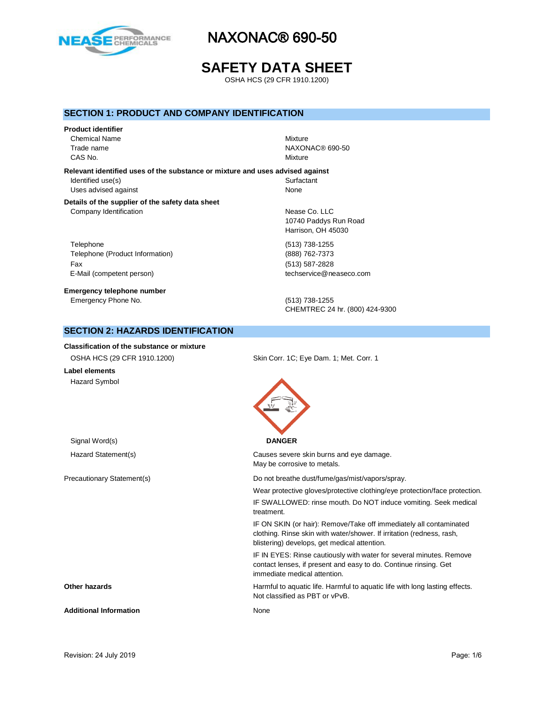

# **SAFETY DATA SHEET**

OSHA HCS (29 CFR 1910.1200)

### **SECTION 1: PRODUCT AND COMPANY IDENTIFICATION**

# **Product identifier** Chemical Name Mixture

CAS No. 2008 2012 2013 2014 2015 2016 2017 2018 2019 2014 2017 2018 2019 2019 2017 2018 2019 2019 2017 2018 2019 2017 2018 2019 2019 2017 2018 2019 2019 2017 2018 2019 2019 2019 2019 2019 2017 2018 2019 2019 2017 2017 2018

Trade name NAXONAC® 690-50

### **Relevant identified uses of the substance or mixture and uses advised against**

Identified use(s) Surfactant Uses advised against None

#### **Details of the supplier of the safety data sheet** Company Identification **Nease Co.** LLC

Telephone (513) 738-1255 Telephone (Product Information) (888) 762-7373 Fax (513) 587-2828 E-Mail (competent person) example a second techservice@neaseco.com

**Emergency telephone number** Emergency Phone No. (513) 738-1255

10740 Paddys Run Road Harrison, OH 45030

CHEMTREC 24 hr. (800) 424-9300

# **SECTION 2: HAZARDS IDENTIFICATION**

### **Classification of the substance or mixture**

| OSHA HCS (29 CFR 1910.1200)   | Skin Corr. 1C; Eye Dam. 1; Met. Corr. 1                                                                                                                                                     |
|-------------------------------|---------------------------------------------------------------------------------------------------------------------------------------------------------------------------------------------|
| Label elements                |                                                                                                                                                                                             |
| <b>Hazard Symbol</b>          |                                                                                                                                                                                             |
| Signal Word(s)                | <b>DANGER</b>                                                                                                                                                                               |
| Hazard Statement(s)           | Causes severe skin burns and eye damage.<br>May be corrosive to metals.                                                                                                                     |
| Precautionary Statement(s)    | Do not breathe dust/fume/gas/mist/vapors/spray.                                                                                                                                             |
|                               | Wear protective gloves/protective clothing/eye protection/face protection.                                                                                                                  |
|                               | IF SWALLOWED: rinse mouth. Do NOT induce vomiting. Seek medical<br>treatment.                                                                                                               |
|                               | IF ON SKIN (or hair): Remove/Take off immediately all contaminated<br>clothing. Rinse skin with water/shower. If irritation (redness, rash,<br>blistering) develops, get medical attention. |
|                               | IF IN EYES: Rinse cautiously with water for several minutes. Remove<br>contact lenses, if present and easy to do. Continue rinsing. Get<br>immediate medical attention.                     |
| Other hazards                 | Harmful to aquatic life. Harmful to aquatic life with long lasting effects.<br>Not classified as PBT or vPvB.                                                                               |
| <b>Additional Information</b> | None                                                                                                                                                                                        |
|                               |                                                                                                                                                                                             |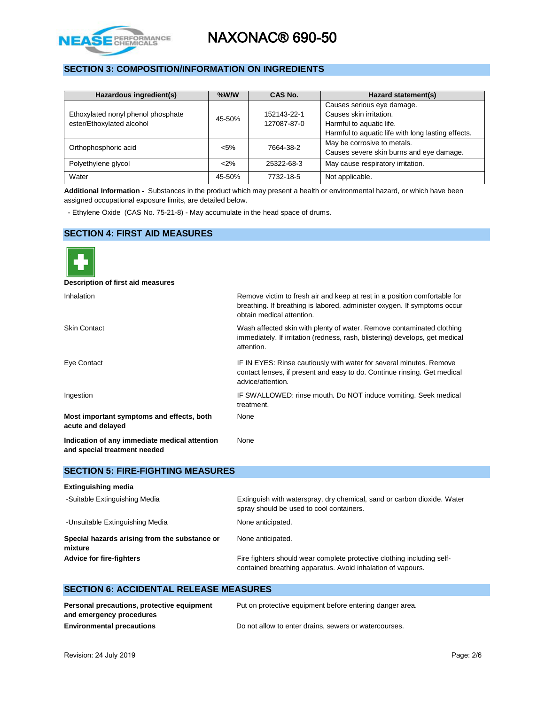

# **SECTION 3: COMPOSITION/INFORMATION ON INGREDIENTS**

| Hazardous ingredient(s)                                         | $%$ W/W | CAS No.                    | Hazard statement(s)                                                                                                                     |
|-----------------------------------------------------------------|---------|----------------------------|-----------------------------------------------------------------------------------------------------------------------------------------|
| Ethoxylated nonyl phenol phosphate<br>ester/Ethoxylated alcohol | 45-50%  | 152143-22-1<br>127087-87-0 | Causes serious eye damage.<br>Causes skin irritation.<br>Harmful to aquatic life.<br>Harmful to aquatic life with long lasting effects. |
| Orthophosphoric acid                                            | $< 5\%$ | 7664-38-2                  | May be corrosive to metals.<br>Causes severe skin burns and eye damage.                                                                 |
| Polyethylene glycol                                             | < 2%    | 25322-68-3                 | May cause respiratory irritation.                                                                                                       |
| Water                                                           | 45-50%  | 7732-18-5                  | Not applicable.                                                                                                                         |

**Additional Information -** Substances in the product which may present a health or environmental hazard, or which have been assigned occupational exposure limits, are detailed below.

- Ethylene Oxide (CAS No. 75-21-8) - May accumulate in the head space of drums.

### **SECTION 4: FIRST AID MEASURES**

| Description of first aid measures                                             |                                                                                                                                                                                    |
|-------------------------------------------------------------------------------|------------------------------------------------------------------------------------------------------------------------------------------------------------------------------------|
| Inhalation                                                                    | Remove victim to fresh air and keep at rest in a position comfortable for<br>breathing. If breathing is labored, administer oxygen. If symptoms occur<br>obtain medical attention. |
| <b>Skin Contact</b>                                                           | Wash affected skin with plenty of water. Remove contaminated clothing<br>immediately. If irritation (redness, rash, blistering) develops, get medical<br>attention.                |
| Eye Contact                                                                   | IF IN EYES: Rinse cautiously with water for several minutes. Remove<br>contact lenses, if present and easy to do. Continue rinsing. Get medical<br>advice/attention.               |
| Ingestion                                                                     | IF SWALLOWED: rinse mouth. Do NOT induce vomiting. Seek medical<br>treatment.                                                                                                      |
| Most important symptoms and effects, both<br>acute and delayed                | None                                                                                                                                                                               |
| Indication of any immediate medical attention<br>and special treatment needed | None                                                                                                                                                                               |

### **SECTION 5: FIRE-FIGHTING MEASURES**

| <b>Extinguishing media</b> |  |
|----------------------------|--|
|----------------------------|--|

| -Suitable Extinguishing Media                            | Extinguish with waterspray, dry chemical, sand or carbon dioxide. Water<br>spray should be used to cool containers.                   |
|----------------------------------------------------------|---------------------------------------------------------------------------------------------------------------------------------------|
| -Unsuitable Extinguishing Media                          | None anticipated.                                                                                                                     |
| Special hazards arising from the substance or<br>mixture | None anticipated.                                                                                                                     |
| <b>Advice for fire-fighters</b>                          | Fire fighters should wear complete protective clothing including self-<br>contained breathing apparatus. Avoid inhalation of vapours. |

# **SECTION 6: ACCIDENTAL RELEASE MEASURES**

| Personal precautions, protective equipment | Put on protective equipment before entering danger area. |
|--------------------------------------------|----------------------------------------------------------|
| and emergency procedures                   |                                                          |
| <b>Environmental precautions</b>           | Do not allow to enter drains, sewers or watercourses.    |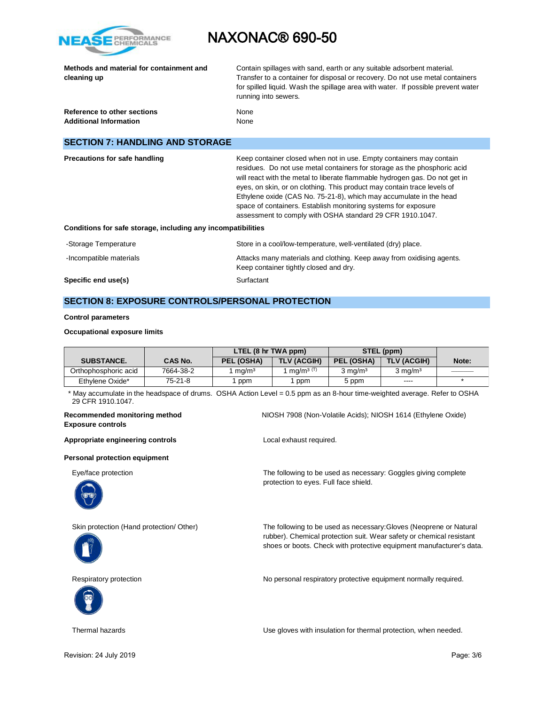

|             | Methods and material for containment and |
|-------------|------------------------------------------|
| cleaning up |                                          |

Contain spillages with sand, earth or any suitable adsorbent material. Transfer to a container for disposal or recovery. Do not use metal containers for spilled liquid. Wash the spillage area with water. If possible prevent water running into sewers.

| Reference to other sections   | None |
|-------------------------------|------|
| <b>Additional Information</b> | None |

# **SECTION 7: HANDLING AND STORAGE**

| <b>Precautions for safe handling</b><br>Conditions for safe storage, including any incompatibilities | Keep container closed when not in use. Empty containers may contain<br>residues. Do not use metal containers for storage as the phosphoric acid<br>will react with the metal to liberate flammable hydrogen gas. Do not get in<br>eyes, on skin, or on clothing. This product may contain trace levels of<br>Ethylene oxide (CAS No. 75-21-8), which may accumulate in the head<br>space of containers. Establish monitoring systems for exposure<br>assessment to comply with OSHA standard 29 CFR 1910.1047. |
|------------------------------------------------------------------------------------------------------|----------------------------------------------------------------------------------------------------------------------------------------------------------------------------------------------------------------------------------------------------------------------------------------------------------------------------------------------------------------------------------------------------------------------------------------------------------------------------------------------------------------|
| -Storage Temperature                                                                                 | Store in a cool/low-temperature, well-ventilated (dry) place.                                                                                                                                                                                                                                                                                                                                                                                                                                                  |
| -Incompatible materials                                                                              | Attacks many materials and clothing. Keep away from oxidising agents.<br>Keep container tightly closed and dry.                                                                                                                                                                                                                                                                                                                                                                                                |
| Specific end use(s)                                                                                  | Surfactant                                                                                                                                                                                                                                                                                                                                                                                                                                                                                                     |

# **SECTION 8: EXPOSURE CONTROLS/PERSONAL PROTECTION**

#### **Control parameters**

### **Occupational exposure limits**

|                      |                | LTEL (8 hr TWA ppm) |                                   | STEL (ppm)         |                    |       |
|----------------------|----------------|---------------------|-----------------------------------|--------------------|--------------------|-------|
| <b>SUBSTANCE.</b>    | <b>CAS No.</b> | PEL (OSHA)          | <b>TLV (ACGIH)</b>                | <b>PEL (OSHA)</b>  | <b>TLV (ACGIH)</b> | Note: |
| Orthophosphoric acid | 7664-38-2      | ma/m <sup>3</sup>   | ma/m <sup>3<math>(T)</math></sup> | $3 \text{ mg/m}^3$ | $3 \text{ mg/m}^3$ |       |
| Ethylene Oxide*      | 75-21-8        | ppm                 | ppm                               | 5 ppm              | $\cdots$           |       |

\* May accumulate in the headspace of drums. OSHA Action Level = 0.5 ppm as an 8-hour time-weighted average. Refer to OSHA 29 CFR 1910.1047.

# **Exposure controls**

Appropriate engineering controls **Appropriate engineering controls Local exhaust required.** 

#### **Personal protection equipment**







**Recommended monitoring method** NIOSH 7908 (Non-Volatile Acids); NIOSH 1614 (Ethylene Oxide)

Eye/face protection The following to be used as necessary: Goggles giving complete protection to eyes. Full face shield.

Skin protection (Hand protection/ Other) The following to be used as necessary:Gloves (Neoprene or Natural rubber). Chemical protection suit. Wear safety or chemical resistant shoes or boots. Check with protective equipment manufacturer's data.

Respiratory protection **No personal respiratory protective equipment normally required.** 

Thermal hazards Use gloves with insulation for thermal protection, when needed.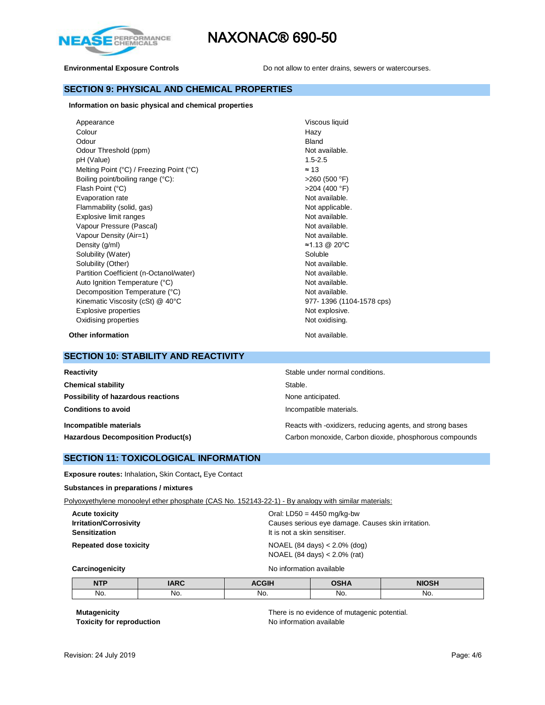

**Environmental Exposure Controls Do not allow to enter drains, sewers or watercourses.** 

### **SECTION 9: PHYSICAL AND CHEMICAL PROPERTIES**

**Information on basic physical and chemical properties**

| Appearance                                          | Viscous liquid           |
|-----------------------------------------------------|--------------------------|
| Colour                                              | Hazy                     |
| Odour                                               | Bland                    |
| Odour Threshold (ppm)                               | Not available.           |
| pH (Value)                                          | $1.5 - 2.5$              |
| Melting Point $(°C)$ / Freezing Point $(^{\circ}C)$ | $\approx$ 13             |
| Boiling point/boiling range (°C):                   | $>260$ (500 °F)          |
| Flash Point (°C)                                    | $>204$ (400 °F)          |
| Evaporation rate                                    | Not available.           |
| Flammability (solid, gas)                           | Not applicable.          |
| Explosive limit ranges                              | Not available.           |
| Vapour Pressure (Pascal)                            | Not available.           |
| Vapour Density (Air=1)                              | Not available.           |
| Density (g/ml)                                      | ≈1.13 @ 20°C             |
| Solubility (Water)                                  | Soluble                  |
| Solubility (Other)                                  | Not available.           |
| Partition Coefficient (n-Octanol/water)             | Not available.           |
| Auto Ignition Temperature (°C)                      | Not available.           |
| Decomposition Temperature (°C)                      | Not available.           |
| Kinematic Viscosity (cSt) @ 40°C                    | 977-1396 (1104-1578 cps) |
| Explosive properties                                | Not explosive.           |
| Oxidising properties                                | Not oxidising.           |
|                                                     |                          |

**Other information** Not available.

### **SECTION 10: STABILITY AND REACTIVITY**

| Reactivity                                | Stable under normal conditions.                           |
|-------------------------------------------|-----------------------------------------------------------|
| <b>Chemical stability</b>                 | Stable.                                                   |
| Possibility of hazardous reactions        | None anticipated.                                         |
| <b>Conditions to avoid</b>                | Incompatible materials.                                   |
| Incompatible materials                    | Reacts with -oxidizers, reducing agents, and strong bases |
| <b>Hazardous Decomposition Product(s)</b> | Carbon monoxide, Carbon dioxide, phosphorous compounds    |

### **SECTION 11: TOXICOLOGICAL INFORMATION**

**Exposure routes:** Inhalation**,** Skin Contact**,** Eye Contact

### **Substances in preparations / mixtures**

Polyoxyethylene monooleyl ether phosphate (CAS No. 152143-22-1) - By analogy with similar materials:

| <b>Acute toxicity</b><br><b>Irritation/Corrosivity</b> | Oral: $LD50 = 4450$ mg/kg-bw<br>Causes serious eye damage. Causes skin irritation.  |
|--------------------------------------------------------|-------------------------------------------------------------------------------------|
| <b>Sensitization</b>                                   | It is not a skin sensitiser.                                                        |
| <b>Repeated dose toxicity</b>                          | NOAEL $(84 \text{ days}) < 2.0\%$ $(\text{dog})$<br>NOAEL (84 days) $< 2.0\%$ (rat) |

**Carcinogenicity Carcinogenicity No information available** 

| <b>NTP</b> | $\mathbf{A}$<br>$- - - -$ | 0.011 | <b>OUIA</b> | NINCH |
|------------|---------------------------|-------|-------------|-------|
| No.        | NO.                       | No.   | No.         | No.   |

**Toxicity for reproduction** 

**Mutagenicity**<br> **There is no evidence of mutagenic potential.**<br> **Toxicity for reproduction**<br> **No information available**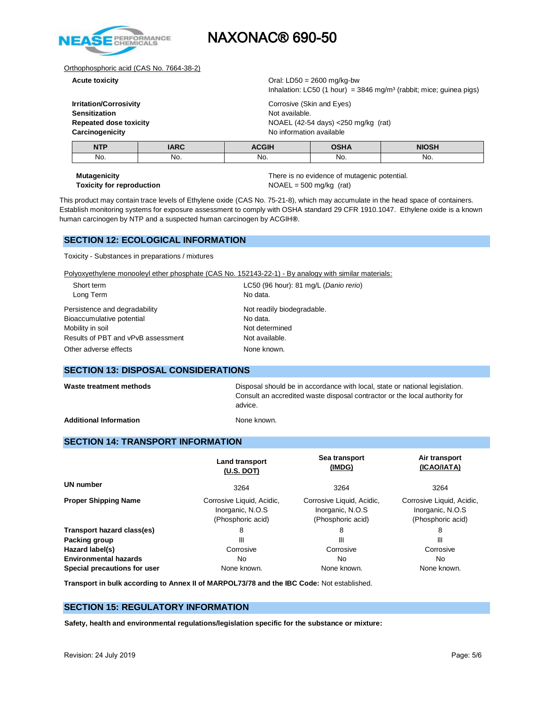

### Orthophosphoric acid (CAS No. 7664-38-2)

**Acute toxicity** Oral: LD50 = 2600 mg/kg-bw

| Carcinogenicity               | No information available                                                         |                                        |  |  |
|-------------------------------|----------------------------------------------------------------------------------|----------------------------------------|--|--|
|                               |                                                                                  |                                        |  |  |
| <b>Repeated dose toxicity</b> |                                                                                  | NOAEL (42-54 days) $<$ 250 mg/kg (rat) |  |  |
| Sensitization                 | Not available.                                                                   |                                        |  |  |
| Irritation/Corrosivity        | Corrosive (Skin and Eyes)                                                        |                                        |  |  |
|                               | Inhalation: LC50 (1 hour) = $3846$ mg/m <sup>3</sup> (rabbit; mice; guinea pigs) |                                        |  |  |

| <b>NTP</b> | ADC<br>----- | $   -$<br>_____ |     | .<br>. |
|------------|--------------|-----------------|-----|--------|
| No.        | No.          | No.             | No. | NO.    |
|            |              |                 |     |        |

**Mutagenicity** There is no evidence of mutagenic potential. **Toxicity for reproduction**  $NOAEL = 500 \text{ mg/kg (rat)}$ 

This product may contain trace levels of Ethylene oxide (CAS No. 75-21-8), which may accumulate in the head space of containers. Establish monitoring systems for exposure assessment to comply with OSHA standard 29 CFR 1910.1047. Ethylene oxide is a known human carcinogen by NTP and a suspected human carcinogen by ACGIH**®**.

# **SECTION 12: ECOLOGICAL INFORMATION**

Toxicity - Substances in preparations / mixtures

Polyoxyethylene monooleyl ether phosphate (CAS No. 152143-22-1) - By analogy with similar materials:

| Short term                         | LC50 (96 hour): 81 mg/L (Danio rerio) |
|------------------------------------|---------------------------------------|
| Long Term                          | No data.                              |
| Persistence and degradability      | Not readily biodegradable.            |
| Bioaccumulative potential          | No data.                              |
| Mobility in soil                   | Not determined                        |
| Results of PBT and vPvB assessment | Not available.                        |
| Other adverse effects              | None known.                           |

### **SECTION 13: DISPOSAL CONSIDERATIONS**

Waste treatment methods **Disposal should be in accordance with local**, state or national legislation. Consult an accredited waste disposal contractor or the local authority for advice.

Additional Information **None known.** None known.

## **SECTION 14: TRANSPORT INFORMATION**

|                              | <b>Land transport</b><br>(U.S. DOT)                                | Sea transport<br>(IMDG)                                            | Air transport<br>(ICAO/IATA)                                       |
|------------------------------|--------------------------------------------------------------------|--------------------------------------------------------------------|--------------------------------------------------------------------|
| <b>UN number</b>             | 3264                                                               | 3264                                                               | 3264                                                               |
| <b>Proper Shipping Name</b>  | Corrosive Liquid, Acidic,<br>Inorganic, N.O.S<br>(Phosphoric acid) | Corrosive Liquid, Acidic,<br>Inorganic, N.O.S<br>(Phosphoric acid) | Corrosive Liquid, Acidic,<br>Inorganic, N.O.S<br>(Phosphoric acid) |
| Transport hazard class(es)   | 8                                                                  | 8                                                                  | 8                                                                  |
| Packing group                | Ш                                                                  | Ш                                                                  | Ш                                                                  |
| Hazard label(s)              | Corrosive                                                          | Corrosive                                                          | Corrosive                                                          |
| <b>Environmental hazards</b> | No.                                                                | No                                                                 | No.                                                                |
| Special precautions for user | None known.                                                        | None known.                                                        | None known.                                                        |

**Transport in bulk according to Annex II of MARPOL73/78 and the IBC Code:** Not established.

# **SECTION 15: REGULATORY INFORMATION**

**Safety, health and environmental regulations/legislation specific for the substance or mixture:**